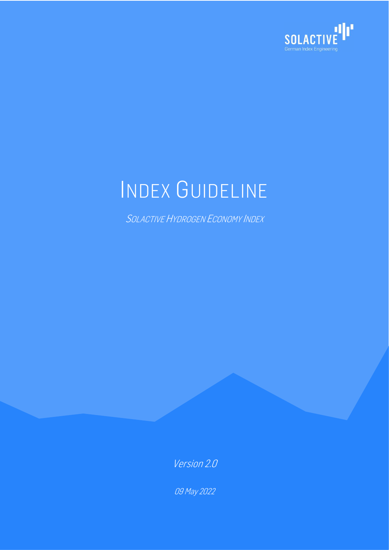

# INDEX GUIDELINE

SOLACTIVE HYDROGEN ECONOMY INDEX

Version 2.0

09 May 2022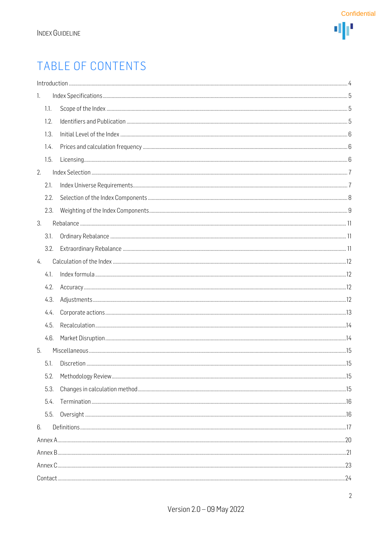### TABLE OF CONTENTS

| 1. |      |  |  |  |  |  |
|----|------|--|--|--|--|--|
|    | 1.1. |  |  |  |  |  |
|    | 1.2. |  |  |  |  |  |
|    | 1.3. |  |  |  |  |  |
|    | 1.4. |  |  |  |  |  |
|    | 1.5. |  |  |  |  |  |
| 2. |      |  |  |  |  |  |
|    | 2.1. |  |  |  |  |  |
|    | 2.2. |  |  |  |  |  |
|    | 2.3. |  |  |  |  |  |
| 3. |      |  |  |  |  |  |
|    | 3.1. |  |  |  |  |  |
|    | 3.2. |  |  |  |  |  |
| 4. |      |  |  |  |  |  |
|    | 4.1. |  |  |  |  |  |
|    | 4.2. |  |  |  |  |  |
|    | 4.3. |  |  |  |  |  |
|    | 4.4. |  |  |  |  |  |
|    | 4.5. |  |  |  |  |  |
|    | 4.6. |  |  |  |  |  |
| 5. |      |  |  |  |  |  |
|    | 5.1. |  |  |  |  |  |
|    | 5.2. |  |  |  |  |  |
|    | 5.3. |  |  |  |  |  |
|    | 5.4. |  |  |  |  |  |
|    | 5.5. |  |  |  |  |  |
| 6. |      |  |  |  |  |  |
|    |      |  |  |  |  |  |
|    |      |  |  |  |  |  |
|    |      |  |  |  |  |  |
|    |      |  |  |  |  |  |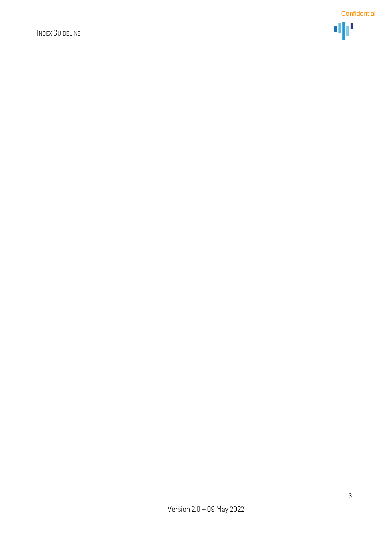INDEX GUIDELINE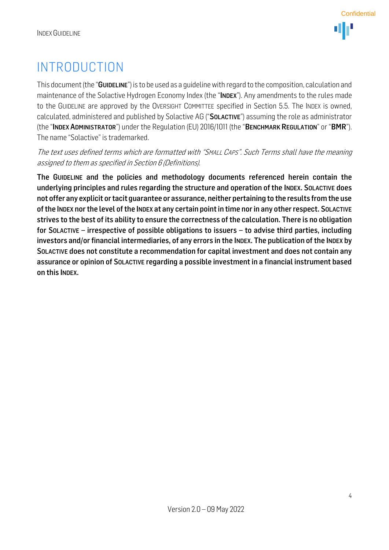### <span id="page-3-0"></span>INTRODUCTION

This document (the "GUIDELINE") is to be used as a quideline with regard to the composition, calculation and maintenance of the Solactive Hydrogen Economy Index (the "INDEX"). Any amendments to the rules made to the GUIDELINE are approved by the OVERSIGHT COMMITTEE specified in Section 5.5. The INDEX is owned, calculated, administered and published by Solactive AG ("SOLACTIVE") assuming the role as administrator (the "INDEX ADMINISTRATOR") under the Regulation (EU) 2016/1011 (the "BENCHMARK REGULATION" or "BMR"). The name "Solactive" is trademarked.

The text uses defined terms which are formatted with "SMALL CAPS". Such Terms shall have the meaning assigned to them as specified in Section 6 (Definitions).

The GUIDELINE and the policies and methodology documents referenced herein contain the underlying principles and rules regarding the structure and operation of the INDEX. SOLACTIVE does not offer any explicit or tacit guarantee or assurance, neither pertaining to the results from the use of the INDEX nor the level of the INDEX at any certain point in time nor in any other respect. SOLACTIVE strives to the best of its ability to ensure the correctness of the calculation. There is no obligation for SOLACTIVE – irrespective of possible obligations to issuers – to advise third parties, including investors and/or financial intermediaries, of any errors in the INDEX. The publication of the INDEX by SOLACTIVE does not constitute a recommendation for capital investment and does not contain any assurance or opinion of SOLACTIVE regarding a possible investment in a financial instrument based on this INDEX.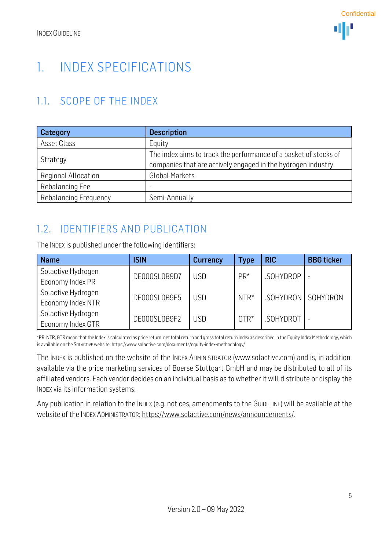### <span id="page-4-0"></span>1. INDEX SPECIFICATIONS

#### <span id="page-4-1"></span>1.1. SCOPE OF THE INDEX

| <b>Category</b>              | <b>Description</b>                                                                                                                |  |  |
|------------------------------|-----------------------------------------------------------------------------------------------------------------------------------|--|--|
| Asset Class                  | Equity                                                                                                                            |  |  |
| Strategy                     | The index aims to track the performance of a basket of stocks of<br>companies that are actively engaged in the hydrogen industry. |  |  |
| Regional Allocation          | <b>Global Markets</b>                                                                                                             |  |  |
| Rebalancing Fee              | $\overline{\phantom{0}}$                                                                                                          |  |  |
| <b>Rebalancing Frequency</b> | Semi-Annually                                                                                                                     |  |  |

#### <span id="page-4-2"></span>1.2. IDENTIFIERS AND PUBLICATION

The INDEX is published under the following identifiers:

| <b>Name</b>                             | <b>ISIN</b>  | <b>Currency</b> | Type   | <b>RIC</b> | <b>BBG</b> ticker |
|-----------------------------------------|--------------|-----------------|--------|------------|-------------------|
| Solactive Hydrogen<br>Economy Index PR  | DE000SL0B9D7 | <b>USD</b>      | $PR*$  | .SOHYDROP  |                   |
| Solactive Hydrogen<br>Economy Index NTR | DE000SL0B9E5 | <b>USD</b>      | $NTR*$ | .SOHYDRON  | SOHYDRON          |
| Solactive Hydrogen<br>Economy Index GTR | DE000SL0B9F2 | <b>USD</b>      | $GTR*$ | .SOHYDROT  |                   |

\*PR, NTR, GTR mean that the Index is calculated as price return, net total return and gross total return Index as described in the Equity Index Methodology, which is available on the SOLACTIVE website[: https://www.solactive.com/documents/equity-index-methodology/](https://www.solactive.com/documents/equity-index-methodology/)

The INDEX is published on the website of the INDEX ADMINISTRATOR [\(www.solactive.com\)](http://www.solactive.com/) and is, in addition, available via the price marketing services of Boerse Stuttgart GmbH and may be distributed to all of its affiliated vendors. Each vendor decides on an individual basis as to whether it will distribute or display the INDEX via its information systems.

Any publication in relation to the INDEX (e.g. notices, amendments to the GUIDELINE) will be available at the website of the INDEX ADMINISTRATOR: [https://www.solactive.com/news/announcements/.](https://www.solactive.com/news/announcements/)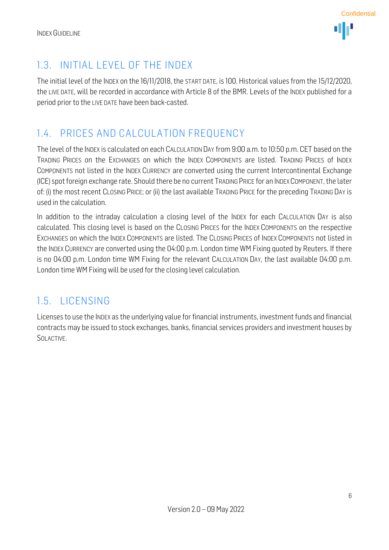

#### <span id="page-5-0"></span>1.3. INITIAL LEVEL OF THE INDEX

The initial level of the INDEX on the 16/11/2018, the START DATE, is 100. Historical values from the 15/12/2020, the LIVE DATE, will be recorded in accordance with Article 8 of the BMR. Levels of the INDEX published for a period prior to the LIVE DATE have been back-casted.

#### <span id="page-5-1"></span>1.4. PRICES AND CALCULATION FREQUENCY

The level of the INDEX is calculated on each CALCULATION DAY from 9:00 a.m. to 10:50 p.m. CET based on the TRADING PRICES on the EXCHANGES on which the INDEX COMPONENTS are listed. TRADING PRICES of INDEX COMPONENTS not listed in the INDEX CURRENCY are converted using the current Intercontinental Exchange (ICE) spot foreign exchange rate. Should there be no current TRADING PRICE for an INDEXCOMPONENT, the later of: (i) the most recent CLOSING PRICE; or (ii) the last available TRADING PRICE for the preceding TRADING DAY is used in the calculation.

In addition to the intraday calculation a closing level of the INDEX for each CALCULATION DAY is also calculated. This closing level is based on the CLOSING PRICES for the INDEX COMPONENTS on the respective EXCHANGES on which the INDEX COMPONENTS are listed. The CLOSING PRICES of INDEX COMPONENTS not listed in the INDEX CURRENCY are converted using the 04:00 p.m. London time WM Fixing quoted by Reuters. If there is no 04:00 p.m. London time WM Fixing for the relevant CALCULATION DAY, the last available 04:00 p.m. London time WM Fixing will be used for the closing level calculation.

#### <span id="page-5-2"></span>1.5. LICENSING

Licenses to use the INDEX as the underlying value for financial instruments, investment funds and financial contracts may be issued to stock exchanges, banks, financial services providers and investment houses by SOLACTIVE.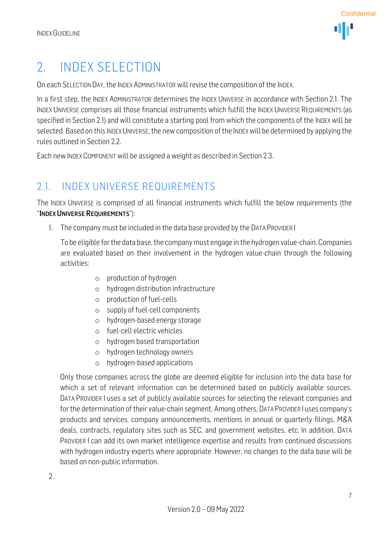### <span id="page-6-0"></span>2. INDEX SELECTION

On each SELECTION DAY, the INDEX ADMINISTRATOR will revise the composition of the INDEX.

In a first step, the INDEX ADMINISTRATOR determines the INDEX UNIVERSE in accordance with Section 2.1. The INDEX UNIVERSE comprises all those financial instruments which fulfill the INDEX UNIVERSE REQUIREMENTS (as specified in Section 2.1) and will constitute a starting pool from which the components of the INDEX will be selected. Based on this INDEX UNIVERSE, the new composition of the INDEX will be determined by applying the rules outlined in Section 2.2.

Each new INDEX COMPONENT will be assigned a weight as described in Section 2.3.

#### <span id="page-6-1"></span>2.1. INDEX UNIVERSE REQUIREMENTS

The INDEX UNIVERSE is comprised of all financial instruments which fulfill the below requirements (the "INDEX UNIVERSE REQUIREMENTS"):

1. The company must be included in the data base provided by the DATA PROVIDER I

To be eligible for the data base, the company must engage in the hydrogen value-chain. Companies are evaluated based on their involvement in the hydrogen value-chain through the following activities:

- o production of hydrogen
- o hydrogen distribution infrastructure
- o production of fuel-cells
- o supply of fuel-cell components
- o hydrogen-based energy storage
- o fuel-cell electric vehicles
- o hydrogen based transportation
- o hydrogen technology owners
- o hydrogen-based applications

Only those companies across the globe are deemed eligible for inclusion into the data base for which a set of relevant information can be determined based on publicly available sources. DATA PROVIDER I uses a set of publicly available sources for selecting the relevant companies and for the determination of their value-chain segment. Among others, DATA PROVIDER I uses company's products and services, company announcements, mentions in annual or quarterly filings, M&A deals, contracts, regulatory sites such as SEC, and government websites, etc. In addition, DATA PROVIDER I can add its own market intelligence expertise and results from continued discussions with hydrogen industry experts where appropriate. However, no changes to the data base will be based on non-public information.

2.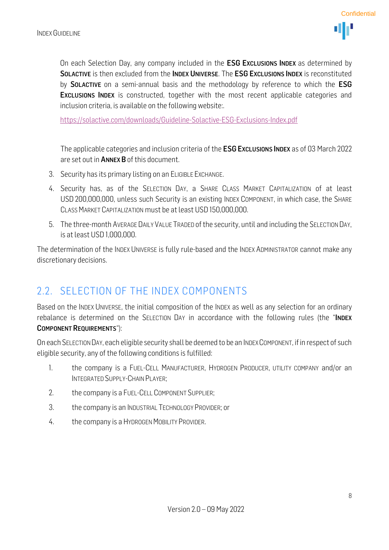

On each Selection Day, any company included in the **ESG Exclusions Inpex** as determined by SOLACTIVE is then excluded from the INDEX UNIVERSE. The ESG EXCLUSIONS INDEX is reconstituted by **SOLACTIVE** on a semi-annual basis and the methodology by reference to which the **ESG Exclusions INDEX** is constructed, together with the most recent applicable categories and inclusion criteria, is available on the following website:.

<https://solactive.com/downloads/Guideline-Solactive-ESG-Exclusions-Index.pdf>

The applicable categories and inclusion criteria of the **ESG Exclusions INDEX** as of 03 March 2022 are set out in ANNEX B of this document.

- 3. Security has its primary listing on an ELIGIBLE EXCHANGE.
- 4. Security has, as of the SELECTION DAY, a SHARE CLASS MARKET CAPITALIZATION of at least USD 200,000,000, unless such Security is an existing INDEX COMPONENT, in which case, the SHARE CLASS MARKET CAPITALIZATION must be at least USD 150,000,000.
- 5. The three-month AVERAGE DAILY VALUE TRADED of the security, until and including the SELECTION DAY, is at least USD 1,000,000.

The determination of the INDEX UNIVERSE is fully rule-based and the INDEX ADMINISTRATOR cannot make any discretionary decisions.

#### <span id="page-7-0"></span>2.2. SELECTION OF THE INDEX COMPONENTS

Based on the INDEX UNIVERSE, the initial composition of the INDEX as well as any selection for an ordinary rebalance is determined on the SELECTION DAY in accordance with the following rules (the "INDEX COMPONENT REQUIREMENTS"):

On each SELECTION DAY, each eligible security shall be deemed to be an INDEX COMPONENT, if in respect of such eligible security, any of the following conditions is fulfilled:

- 1. the company is a FUEL-CELL MANUFACTURER, HYDROGEN PRODUCER, UTILITY COMPANY and/or an INTEGRATED SUPPLY-CHAIN PLAYER;
- 2. the company is a FUEL-CELL COMPONENT SUPPLIER;
- 3. the company is an INDUSTRIAL TECHNOLOGY PROVIDER; or
- 4. the company is a HYDROGEN MOBILITY PROVIDER.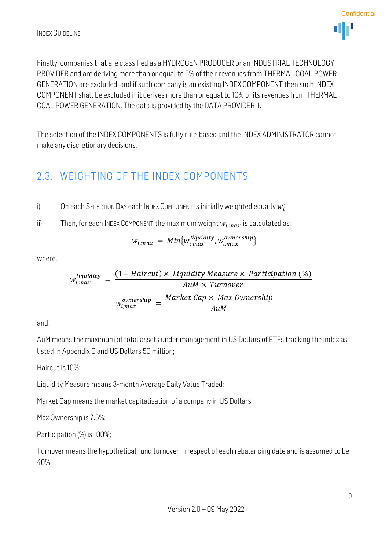Finally, companies that are classified as a HYDROGEN PRODUCER or an INDUSTRIAL TECHNOLOGY PROVIDER and are deriving more than or equal to 5% of their revenues from THERMAL COAL POWER GENERATION are excluded; and if such company is an existing INDEX COMPONENT then such INDEX COMPONENT shall be excluded if it derives more than or equal to 10% of its revenues from THERMAL COAL POWER GENERATION. The data is provided by the DATA PROVIDER II.

The selection of the INDEX COMPONENTS is fully rule-based and the INDEX ADMINISTRATOR cannot make any discretionary decisions.

#### <span id="page-8-0"></span>2.3. WEIGHTING OF THE INDEX COMPONENTS

i) On each SELECTION DAY each INDEX COMPONENT is initially weighted equally  $w_i^\ast$ ;

ii) Then, for each INDEX COMPONENT the maximum weight  $w_{i,max}$  is calculated as:

$$
w_{i,max} = Min{w_{i,max}^{liquidity}, w_{i,max}^{ownership}\}
$$

where,

$$
w_{i,max}^{liquidity} = \frac{(1 - \text{Haircut}) \times \text{Liquidity Measure} \times \text{Participation (%)}}{AuM \times \text{Turnover}}
$$
\n
$$
w_{i,max}^{ ownership} = \frac{\text{Market Cap} \times \text{Max Ownership}}{AuM}
$$

and,

AuM means the maximum of total assets under management in US Dollars of ETFs tracking the index as listed in Appendix C and US Dollars 50 million;

Haircut is 10%;

Liquidity Measure means 3-month Average Daily Value Traded;

Market Cap means the market capitalisation of a company in US Dollars;

Max Ownership is 7.5%;

Participation (%) is 100%;

Turnover means the hypothetical fund turnover in respect of each rebalancing date and is assumed to be 40%.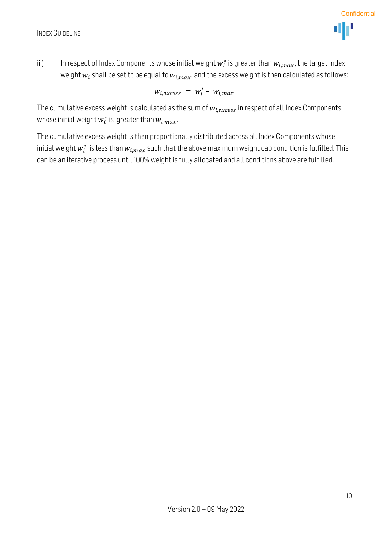

iii) In respect of Index Components whose initial weight  $w_i^*$  is greater than  $w_{i,max}$ , the target index weight  $w_i$  shall be set to be equal to  $w_{i,max}$ , and the excess weight is then calculated as follows:

$$
w_{i,excess} = w_i^* - w_{i,max}
$$

The cumulative excess weight is calculated as the sum of  $w_{i,excess}$  in respect of all Index Components whose initial weight  $w_i^*$  is greater than  $w_{i,max}$ .

The cumulative excess weight is then proportionally distributed across all Index Components whose initial weight  $w^*_i$  is less than  $w_{i,max}$  such that the above maximum weight cap condition is fulfilled. This can be an iterative process until 100% weight is fully allocated and all conditions above are fulfilled.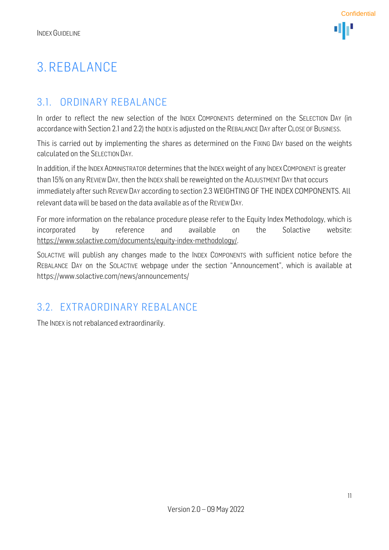### <span id="page-10-0"></span>3. REBALANCE

#### <span id="page-10-1"></span>3.1. ORDINARY REBALANCE

In order to reflect the new selection of the INDEX COMPONENTS determined on the SELECTION DAY (in accordance with Section 2.1 and 2.2) the INDEX is adjusted on the REBALANCE DAY after CLOSE OF BUSINESS.

This is carried out by implementing the shares as determined on the FIXING DAY based on the weights calculated on the SELECTION DAY.

In addition, if the INDEX ADMINISTRATOR determines that the INDEX weight of any INDEX COMPONENT is greater than 15% on any REVIEW DAY, then the INDEX shall be reweighted on the ADJUSTMENT DAY that occurs immediately after such REVIEW DAY according to section 2.3 WEIGHTING OF THE INDEX COMPONENTS. All relevant data will be based on the data available as of the REVIEW DAY.

For more information on the rebalance procedure please refer to the Equity Index Methodology, which is incorporated by reference and available on the Solactive website: [https://www.solactive.com/documents/equity-index-methodology/.](https://www.solactive.com/documents/equity-index-methodology/)

SOLACTIVE will publish any changes made to the INDEX COMPONENTS with sufficient notice before the REBALANCE DAY on the SOLACTIVE webpage under the section "Announcement", which is available at https://www.solactive.com/news/announcements/

#### <span id="page-10-2"></span>3.2. EXTRAORDINARY REBALANCE

The INDEX is not rebalanced extraordinarily.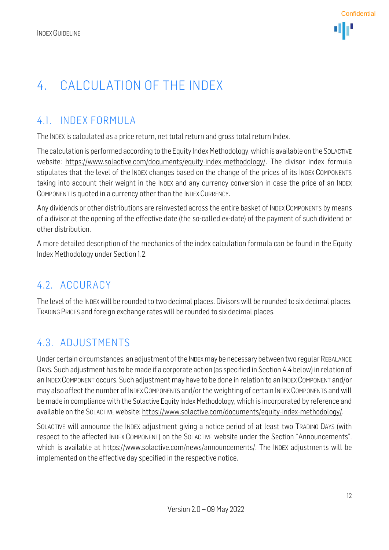### <span id="page-11-0"></span>4. CALCULATION OF THE INDEX

#### <span id="page-11-1"></span>4.1. INDEX FORMULA

The INDEX is calculated as a price return, net total return and gross total return Index.

The calculation is performed according to the Equity Index Methodology, which is available on the SOLACTIVE website: [https://www.solactive.com/documents/equity-index-methodology/.](https://www.solactive.com/documents/equity-index-methodology/) The divisor index formula stipulates that the level of the INDEX changes based on the change of the prices of its INDEX COMPONENTS taking into account their weight in the INDEX and any currency conversion in case the price of an INDEX COMPONENT is quoted in a currency other than the INDEX CURRENCY.

Any dividends or other distributions are reinvested across the entire basket of INDEX COMPONENTS by means of a divisor at the opening of the effective date (the so-called ex-date) of the payment of such dividend or other distribution.

A more detailed description of the mechanics of the index calculation formula can be found in the Equity Index Methodology under Section 1.2.

#### <span id="page-11-2"></span>4.2. ACCURACY

The level of the INDEX will be rounded to two decimal places. Divisors will be rounded to six decimal places. TRADING PRICES and foreign exchange rates will be rounded to six decimal places.

#### <span id="page-11-3"></span>4.3. ADJUSTMENTS

Under certain circumstances, an adjustment of the INDEXmay be necessary between two regular REBALANCE DAYS. Such adjustment has to be made if a corporate action (as specified in Section 4.4 below) in relation of an INDEX COMPONENT occurs. Such adjustment may have to be done in relation to an INDEX COMPONENT and/or may also affect the number of INDEX COMPONENTS and/or the weighting of certain INDEX COMPONENTS and will be made in compliance with the Solactive Equity Index Methodology, which is incorporated by reference and available on the SOLACTIVE website[: https://www.solactive.com/documents/equity-index-methodology/.](https://www.solactive.com/documents/equity-index-methodology/)

SOLACTIVE will announce the INDEX adjustment giving a notice period of at least two TRADING DAYS (with respect to the affected INDEX COMPONENT) on the SOLACTIVE website under the Section "Announcements", which is available at https://www.solactive.com/news/announcements/. The INDEX adjustments will be implemented on the effective day specified in the respective notice.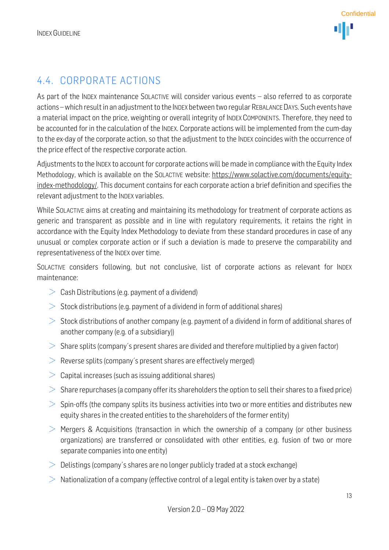#### <span id="page-12-0"></span>4.4. CORPORATE ACTIONS

As part of the INDEX maintenance SOLACTIVE will consider various events – also referred to as corporate actions –which result in an adjustment to the INDEX between two regular REBALANCE DAYS. Such events have a material impact on the price, weighting or overall integrity of INDEX COMPONENTS. Therefore, they need to be accounted for in the calculation of the INDEX. Corporate actions will be implemented from the cum-day to the ex-day of the corporate action, so that the adjustment to the INDEX coincides with the occurrence of the price effect of the respective corporate action.

Adjustments to the INDEX to account for corporate actions will be made in compliance with the Equity Index Methodology, which is available on the SOLACTIVE website: [https://www.solactive.com/documents/equity](https://www.solactive.com/documents/equity-index-methodology/)[index-methodology/.](https://www.solactive.com/documents/equity-index-methodology/) This document contains for each corporate action a brief definition and specifies the relevant adjustment to the INDEX variables.

While SOLACTIVE aims at creating and maintaining its methodology for treatment of corporate actions as generic and transparent as possible and in line with regulatory requirements, it retains the right in accordance with the Equity Index Methodology to deviate from these standard procedures in case of any unusual or complex corporate action or if such a deviation is made to preserve the comparability and representativeness of the INDEX over time.

SOLACTIVE considers following, but not conclusive, list of corporate actions as relevant for INDEX maintenance:

- $\geq$  Cash Distributions (e.g. payment of a dividend)
- $>$  Stock distributions (e.g. payment of a dividend in form of additional shares)
- $>$  Stock distributions of another company (e.g. payment of a dividend in form of additional shares of another company (e.g. of a subsidiary))
- $>$  Share splits (company's present shares are divided and therefore multiplied by a given factor)
- $\geq$  Reverse splits (company's present shares are effectively merged)
- $>$  Capital increases (such as issuing additional shares)
- $>$  Share repurchases (a company offer its shareholders the option to sell their shares to a fixed price)
- $>$  Spin-offs (the company splits its business activities into two or more entities and distributes new equity shares in the created entities to the shareholders of the former entity)
- $>$  Mergers & Acquisitions (transaction in which the ownership of a company (or other business organizations) are transferred or consolidated with other entities, e.g. fusion of two or more separate companies into one entity)
- $\geq$  Delistings (company's shares are no longer publicly traded at a stock exchange)
- $>$  Nationalization of a company (effective control of a legal entity is taken over by a state)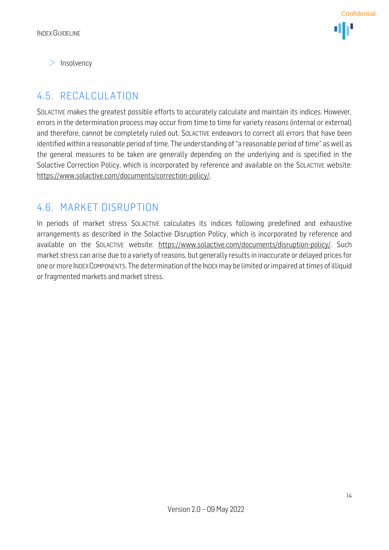$>$  Insolvency

#### <span id="page-13-0"></span>4.5. RECALCULATION

SOLACTIVE makes the greatest possible efforts to accurately calculate and maintain its indices. However, errors in the determination process may occur from time to time for variety reasons (internal or external) and therefore, cannot be completely ruled out. SOLACTIVE endeavors to correct all errors that have been identified within a reasonable period of time. The understanding of "a reasonable period of time" as well as the general measures to be taken are generally depending on the underlying and is specified in the Solactive Correction Policy, which is incorporated by reference and available on the SOLACTIVE website: [https://www.solactive.com/documents/correction-policy/.](https://www.solactive.com/documents/correction-policy/)

#### <span id="page-13-1"></span>4.6. MARKET DISRUPTION

In periods of market stress SOLACTIVE calculates its indices following predefined and exhaustive arrangements as described in the Solactive Disruption Policy, which is incorporated by reference and available on the SOLACTIVE website: [https://www.solactive.com/documents/disruption-policy/.](https://www.solactive.com/documents/disruption-policy/) Such market stress can arise due to a variety of reasons, but generally results in inaccurate or delayed prices for one or more INDEXCOMPONENTS. The determination of the INDEXmay be limited or impaired at times of illiquid or fragmented markets and market stress.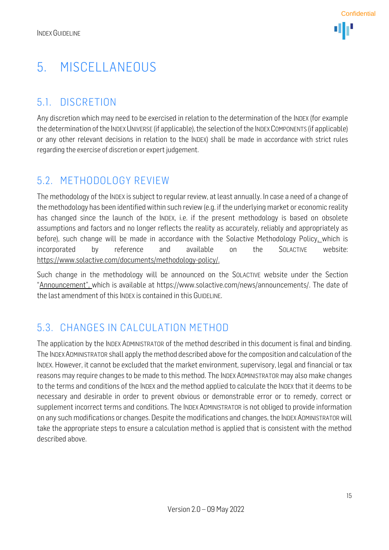### <span id="page-14-0"></span>5. MISCELLANEOUS

#### <span id="page-14-1"></span>5.1. DISCRETION

Any discretion which may need to be exercised in relation to the determination of the INDEX (for example the determination of the INDEX UNIVERSE (if applicable), the selection of the INDEX COMPONENTS (if applicable) or any other relevant decisions in relation to the INDEX) shall be made in accordance with strict rules regarding the exercise of discretion or expert judgement.

#### <span id="page-14-2"></span>5.2. METHODOLOGY REVIEW

The methodology of the INDEX is subject to regular review, at least annually. In case a need of a change of the methodology has been identified within such review (e.g. if the underlying market or economic reality has changed since the launch of the INDEX, i.e. if the present methodology is based on obsolete assumptions and factors and no longer reflects the reality as accurately, reliably and appropriately as before), such change will be made in accordance with the Solactive Methodology Policy, which is incorporated by reference and available on the SOLACTIVE website: [https://www.solactive.com/documents/methodology-policy/.](https://www.solactive.com/documents/methodology-policy/)

Such change in the methodology will be announced on the SOLACTIVE website under the Section "Announcement", which is available at https://www.solactive.com/news/announcements/. The date of the last amendment of this INDEX is contained in this GUIDELINE.

#### <span id="page-14-3"></span>5.3. CHANGES IN CALCULATION METHOD

The application by the INDEX ADMINISTRATOR of the method described in this document is final and binding. The INDEXADMINISTRATOR shall apply the method described above for the composition and calculation of the INDEX. However, it cannot be excluded that the market environment, supervisory, legal and financial or tax reasons may require changes to be made to this method. The INDEX ADMINISTRATOR may also make changes to the terms and conditions of the INDEX and the method applied to calculate the INDEX that it deems to be necessary and desirable in order to prevent obvious or demonstrable error or to remedy, correct or supplement incorrect terms and conditions. The INDEX ADMINISTRATOR is not obliged to provide information on any such modifications or changes. Despite the modifications and changes, the INDEX ADMINISTRATOR will take the appropriate steps to ensure a calculation method is applied that is consistent with the method described above.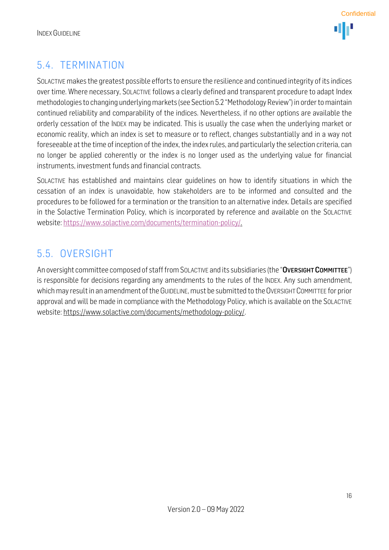#### <span id="page-15-0"></span>5.4. TERMINATION

SOLACTIVE makes the greatest possible efforts to ensure the resilience and continued integrity of its indices over time. Where necessary, SOLACTIVE follows a clearly defined and transparent procedure to adapt Index methodologies to changing underlying markets (see Section 5.2 "Methodology Review") in order to maintain continued reliability and comparability of the indices. Nevertheless, if no other options are available the orderly cessation of the INDEX may be indicated. This is usually the case when the underlying market or economic reality, which an index is set to measure or to reflect, changes substantially and in a way not foreseeable at the time of inception of the index, the index rules, and particularly the selection criteria, can no longer be applied coherently or the index is no longer used as the underlying value for financial instruments, investment funds and financial contracts.

SOLACTIVE has established and maintains clear guidelines on how to identify situations in which the cessation of an index is unavoidable, how stakeholders are to be informed and consulted and the procedures to be followed for a termination or the transition to an alternative index. Details are specified in the Solactive Termination Policy, which is incorporated by reference and available on the SOLACTIVE website: [https://www.solactive.com/documents/termination-policy/.](https://www.solactive.com/documents/termination-policy/)

#### <span id="page-15-1"></span>5.5. OVERSIGHT

An oversight committee composed of staff from SOLACTIVE and its subsidiaries (the "OVERSIGHT COMMITTEE") is responsible for decisions regarding any amendments to the rules of the INDEX. Any such amendment, which may result in an amendment of the GUIDELINE, must be submitted to the OVERSIGHT COMMITTEE for prior approval and will be made in compliance with the [Methodology](http://methodology/) Policy, which is available on the SOLACTIVE website: [https://www.solactive.com/documents/methodology-policy/.](https://www.solactive.com/documents/methodology-policy/)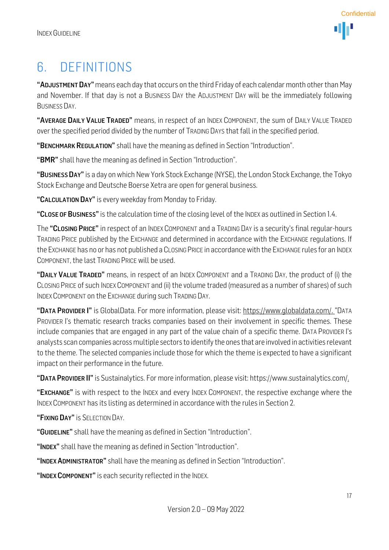### <span id="page-16-0"></span>6. DEFINITIONS

"ADJUSTMENT DAY" means each day that occurs on the third Friday of each calendar month other than May and November. If that day is not a BUSINESS DAY the ADJUSTMENT DAY will be the immediately following BUSINESS DAY.

"AVERAGE DAILY VALUE TRADED" means, in respect of an INDEX COMPONENT, the sum of DAILY VALUE TRADED over the specified period divided by the number of TRADING DAYS that fall in the specified period.

"BENCHMARK REGULATION" shall have the meaning as defined in Section "Introduction".

"BMR" shall have the meaning as defined in Section "Introduction".

"BUSINESS DAY" is a day on which New York Stock Exchange (NYSE), the London Stock Exchange, the Tokyo Stock Exchange and Deutsche Boerse Xetra are open for general business.

"CALCULATION DAY" is every weekday from Monday to Friday.

"CLOSE OF BUSINESS" is the calculation time of the closing level of the INDEX as outlined in Section 1.4.

The "CLOSING PRICE" in respect of an INDEX COMPONENT and a TRADING DAY is a security's final regular-hours TRADING PRICE published by the EXCHANGE and determined in accordance with the EXCHANGE regulations. If the EXCHANGE has no or has not published a CLOSING PRICE in accordance with the EXCHANGE rules for an INDEX COMPONENT, the last TRADING PRICE will be used.

"DAILY VALUE TRADED" means, in respect of an INDEX COMPONENT and a TRADING DAY, the product of (i) the CLOSING PRICE of such INDEX COMPONENT and (ii) the volume traded (measured as a number of shares) of such INDEX COMPONENT on the EXCHANGE during such TRADING DAY.

"DATA PROVIDER I" is GlobalData. For more information, please visit: [https://www.globaldata.com/.](https://www.globaldata.com/) "DATA PROVIDER I's thematic research tracks companies based on their involvement in specific themes. These include companies that are engaged in any part of the value chain of a specific theme. DATA PROVIDER I's analysts scan companies across multiple sectors to identify the ones that are involved in activities relevant to the theme. The selected companies include those for which the theme is expected to have a significant impact on their performance in the future.

"DATA PROVIDER II" is Sustainalytics. For more information, please visit: https://www.sustainalytics.com/

"EXCHANGE" is with respect to the INDEX and every INDEX COMPONENT, the respective exchange where the INDEX COMPONENT has its listing as determined in accordance with the rules in Section 2.

"FIXING DAY" is SELECTION DAY.

"GUIDELINE" shall have the meaning as defined in Section "Introduction".

"INDEX" shall have the meaning as defined in Section "Introduction".

"INDEX ADMINISTRATOR" shall have the meaning as defined in Section "Introduction".

"INDEX COMPONENT" is each security reflected in the INDEX.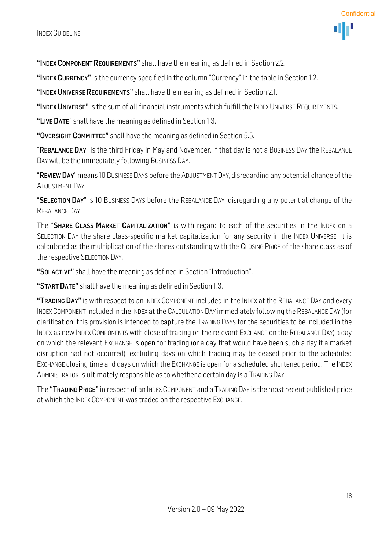"INDEX COMPONENT REQUIREMENTS" shall have the meaning as defined in Section 2.2.

"INDEX CURRENCY" is the currency specified in the column "Currency" in the table in Section 1.2.

"INDEX UNIVERSE REQUIREMENTS" shall have the meaning as defined in Section 2.1.

"INDEX UNIVERSE" is the sum of all financial instruments which fulfill the INDEX UNIVERSE REQUIREMENTS.

"LIVE DATE" shall have the meaning as defined in Section 1.3.

"OVERSIGHT COMMITTEE" shall have the meaning as defined in Section 5.5.

"REBALANCE DAY" is the third Friday in May and November. If that day is not a BUSINESS DAY the REBALANCE DAY will be the immediately following BUSINESS DAY.

"REVIEW DAY" means 10 BUSINESS DAYS before the ADJUSTMENT DAY, disregarding any potential change of the ADJUSTMENT DAY.

"SELECTION DAY" is 10 BUSINESS DAYS before the REBALANCE DAY, disregarding any potential change of the REBALANCE DAY.

The "SHARE CLASS MARKET CAPITALIZATION" is with regard to each of the securities in the INDEX on a SELECTION DAY the share class-specific market capitalization for any security in the INDEX UNIVERSE. It is calculated as the multiplication of the shares outstanding with the CLOSING PRICE of the share class as of the respective SELECTION DAY.

"SOLACTIVE" shall have the meaning as defined in Section "Introduction".

"START DATE" shall have the meaning as defined in Section 1.3.

"TRADING DAY" is with respect to an INDEX COMPONENT included in the INDEX at the REBALANCE DAY and every INDEXCOMPONENT included in the INDEX at the CALCULATION DAY immediately following the REBALANCE DAY (for clarification: this provision is intended to capture the TRADING DAYS for the securities to be included in the INDEX as new INDEX COMPONENTS with close of trading on the relevant EXCHANGE on the REBALANCE DAY) a day on which the relevant EXCHANGE is open for trading (or a day that would have been such a day if a market disruption had not occurred), excluding days on which trading may be ceased prior to the scheduled EXCHANGE closing time and days on which the EXCHANGE is open for a scheduled shortened period. The INDEX ADMINISTRATOR is ultimately responsible as to whether a certain day is a TRADING DAY.

The "TRADING PRICE" in respect of an INDEX COMPONENT and a TRADING DAY is the most recent published price at which the INDEX COMPONENT was traded on the respective EXCHANGE.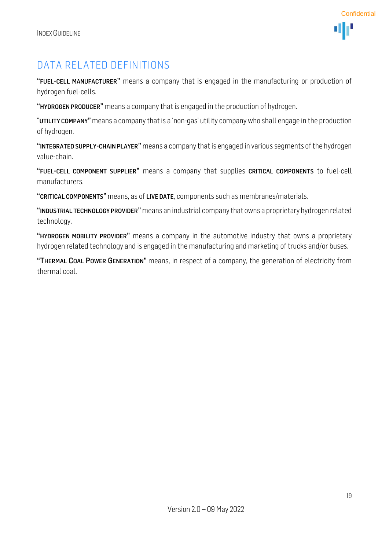#### DATA RELATED DEFINITIONS

"FUEL-CELL MANUFACTURER" means a company that is engaged in the manufacturing or production of hydrogen fuel-cells.

"HYDROGEN PRODUCER" means a company that is engaged in the production of hydrogen.

"UTILITY COMPANY" means a company that is a 'non-gas' utility company who shall engage in the production of hydrogen.

"INTEGRATED SUPPLY-CHAIN PLAYER" means a company that is engaged in various segments of the hydrogen value-chain.

"FUEL-CELL COMPONENT SUPPLIER" means a company that supplies CRITICAL COMPONENTS to fuel-cell manufacturers.

"CRITICAL COMPONENTS" means, as of LIVE DATE, components such as membranes/materials.

"INDUSTRIAL TECHNOLOGY PROVIDER" means an industrial company that owns a proprietary hydrogen related technology.

"HYDROGEN MOBILITY PROVIDER" means a company in the automotive industry that owns a proprietary hydrogen related technology and is engaged in the manufacturing and marketing of trucks and/or buses.

"THERMAL COAL POWER GENERATION" means, in respect of a company, the generation of electricity from thermal coal.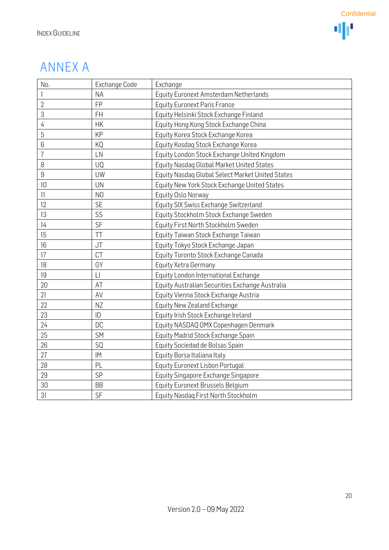### <span id="page-19-0"></span>ANNEX A

| No.              | <b>Exchange Code</b> | Exchange                                         |
|------------------|----------------------|--------------------------------------------------|
| 1                | <b>NA</b>            | Equity Euronext Amsterdam Netherlands            |
| $\overline{2}$   | <b>FP</b>            | <b>Equity Euronext Paris France</b>              |
| 3                | <b>FH</b>            | Equity Helsinki Stock Exchange Finland           |
| 4                | <b>HK</b>            | Equity Hong Kong Stock Exchange China            |
| 5                | KP                   | Equity Korea Stock Exchange Korea                |
| 6                | KQ                   | Equity Kosdaq Stock Exchange Korea               |
| $\overline{7}$   | LN                   | Equity London Stock Exchange United Kingdom      |
| 8                | UQ                   | Equity Nasdaq Global Market United States        |
| $\boldsymbol{9}$ | <b>UW</b>            | Equity Nasdaq Global Select Market United States |
| 10               | UN                   | Equity New York Stock Exchange United States     |
| 11               | N <sub>O</sub>       | Equity Oslo Norway                               |
| 12               | <b>SE</b>            | Equity SIX Swiss Exchange Switzerland            |
| 13               | SS                   | Equity Stockholm Stock Exchange Sweden           |
| 14               | SF                   | Equity First North Stockholm Sweden              |
| 15               | TT                   | Equity Taiwan Stock Exchange Taiwan              |
| 16               | JT                   | Equity Tokyo Stock Exchange Japan                |
| 17               | CT                   | Equity Toronto Stock Exchange Canada             |
| 18               | GY                   | Equity Xetra Germany                             |
| 19               | $\lfloor \rfloor$    | Equity London International Exchange             |
| 20               | AT                   | Equity Australian Securities Exchange Australia  |
| 21               | AV                   | Equity Vienna Stock Exchange Austria             |
| 22               | NZ                   | Equity New Zealand Exchange                      |
| 23               | ID                   | Equity Irish Stock Exchange Ireland              |
| 24               | DC                   | Equity NASDAQ OMX Copenhagen Denmark             |
| 25               | <b>SM</b>            | Equity Madrid Stock Exchange Spain               |
| 26               | SQ                   | Equity Sociedad de Bolsas Spain                  |
| 27               | IM                   | Equity Borsa Italiana Italy                      |
| 28               | PL                   | Equity Euronext Lisbon Portugal                  |
| 29               | <b>SP</b>            | Equity Singapore Exchange Singapore              |
| 30               | <b>BB</b>            | Equity Euronext Brussels Belgium                 |
| 31               | SF                   | Equity Nasdaq First North Stockholm              |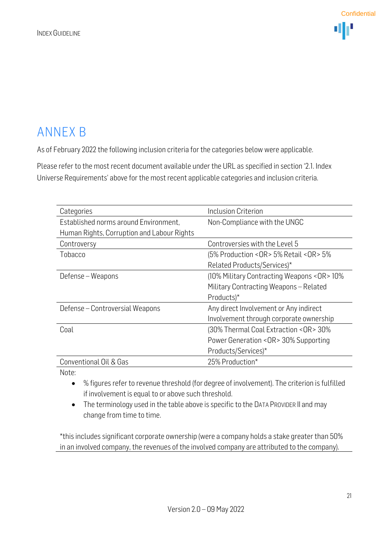### <span id="page-20-0"></span>ANNEX B

As of February 2022 the following inclusion criteria for the categories below were applicable.

Please refer to the most recent document available under the URL as specified in section '2.1. Index Universe Requirements' above for the most recent applicable categories and inclusion criteria.

| Categories                                 | <b>Inclusion Criterion</b>                   |
|--------------------------------------------|----------------------------------------------|
| Established norms around Environment,      | Non-Compliance with the UNGC                 |
| Human Rights, Corruption and Labour Rights |                                              |
| Controversy                                | Controversies with the Level 5               |
| Tobacco                                    | (5% Production < OR > 5% Retail < OR > 5%    |
|                                            | Related Products/Services)*                  |
| Defense - Weapons                          | (10% Military Contracting Weapons < OR > 10% |
|                                            | Military Contracting Weapons - Related       |
|                                            | Products)*                                   |
| Defense - Controversial Weapons            | Any direct Involvement or Any indirect       |
|                                            | Involvement through corporate ownership      |
| Coal                                       | (30% Thermal Coal Extraction < OR > 30%      |
|                                            | Power Generation < OR > 30% Supporting       |
|                                            | Products/Services)*                          |
| Conventional Oil & Gas                     | 25% Production*                              |

Note:

- % figures refer to revenue threshold (for degree of involvement). The criterion is fulfilled if involvement is equal to or above such threshold.
- The terminology used in the table above is specific to the DATA PROVIDER II and may change from time to time.

\*this includes significant corporate ownership (were a company holds a stake greater than 50% in an involved company, the revenues of the involved company are attributed to the company).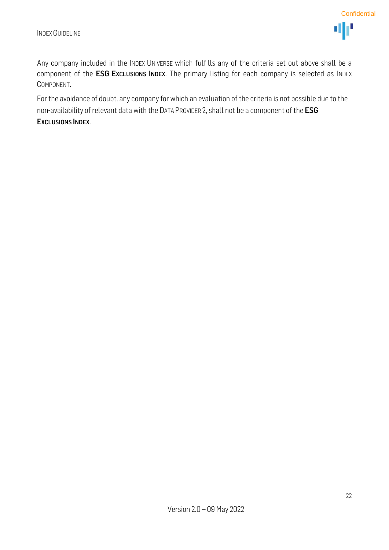Any company included in the INDEX UNIVERSE which fulfills any of the criteria set out above shall be a component of the ESG Exclusions Index. The primary listing for each company is selected as INDEX COMPONENT.

For the avoidance of doubt, any company for which an evaluation of the criteria is not possible due to the non-availability of relevant data with the DATA PROVIDER 2, shall not be a component of the ESG EXCLUSIONS INDEX.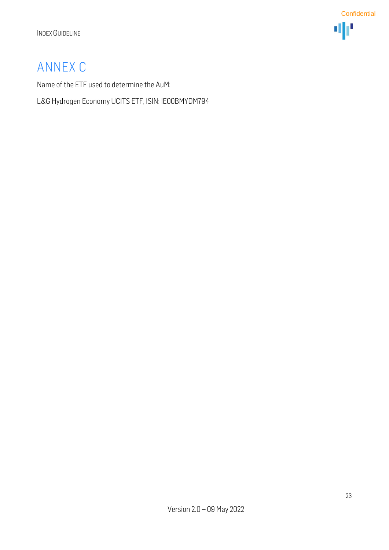### <span id="page-22-0"></span>ANNEX C

Name of the ETF used to determine the AuM:

L&G Hydrogen Economy UCITS ETF, ISIN: IE00BMYDM794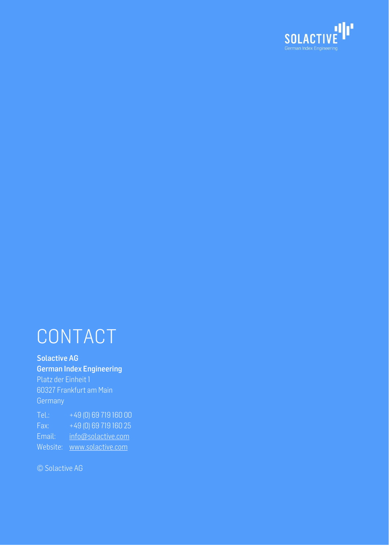

## CONTACT

Solactive AG German Index Engineering Platz der Einheit 1 60327 Frankfurt am Main Germany

Tel.: +49 (0) 69 719 160 00 Fax: +49 (0) 69 719 160 25 Email: [info@solactive.com](mailto:info@solactive.com) Website: [www.solactive.com](http://www.solactive.com/)

© Solactive AG